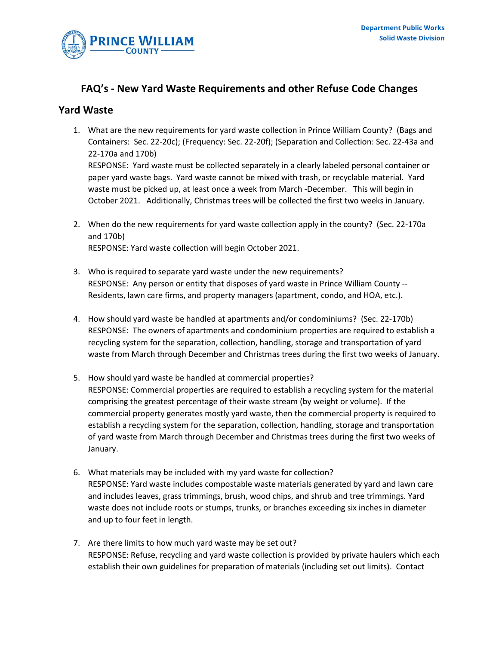

### **FAQ's - New Yard Waste Requirements and other Refuse Code Changes**

#### **Yard Waste**

1. What are the new requirements for yard waste collection in Prince William County? (Bags and Containers: Sec. 22-20c); (Frequency: Sec. 22-20f); (Separation and Collection: Sec. 22-43a and 22-170a and 170b)

RESPONSE: Yard waste must be collected separately in a clearly labeled personal container or paper yard waste bags. Yard waste cannot be mixed with trash, or recyclable material. Yard waste must be picked up, at least once a week from March -December. This will begin in October 2021. Additionally, Christmas trees will be collected the first two weeks in January.

- 2. When do the new requirements for yard waste collection apply in the county? (Sec. 22-170a and 170b) RESPONSE: Yard waste collection will begin October 2021.
- 3. Who is required to separate yard waste under the new requirements? RESPONSE: Any person or entity that disposes of yard waste in Prince William County -- Residents, lawn care firms, and property managers (apartment, condo, and HOA, etc.).
- 4. How should yard waste be handled at apartments and/or condominiums? (Sec. 22-170b) RESPONSE: The owners of apartments and condominium properties are required to establish a recycling system for the separation, collection, handling, storage and transportation of yard waste from March through December and Christmas trees during the first two weeks of January.
- 5. How should yard waste be handled at commercial properties? RESPONSE: Commercial properties are required to establish a recycling system for the material comprising the greatest percentage of their waste stream (by weight or volume). If the commercial property generates mostly yard waste, then the commercial property is required to establish a recycling system for the separation, collection, handling, storage and transportation of yard waste from March through December and Christmas trees during the first two weeks of January.
- 6. What materials may be included with my yard waste for collection? RESPONSE: Yard waste includes compostable waste materials generated by yard and lawn care and includes leaves, grass trimmings, brush, wood chips, and shrub and tree trimmings. Yard waste does not include roots or stumps, trunks, or branches exceeding six inches in diameter and up to four feet in length.
- 7. Are there limits to how much yard waste may be set out? RESPONSE: Refuse, recycling and yard waste collection is provided by private haulers which each establish their own guidelines for preparation of materials (including set out limits). Contact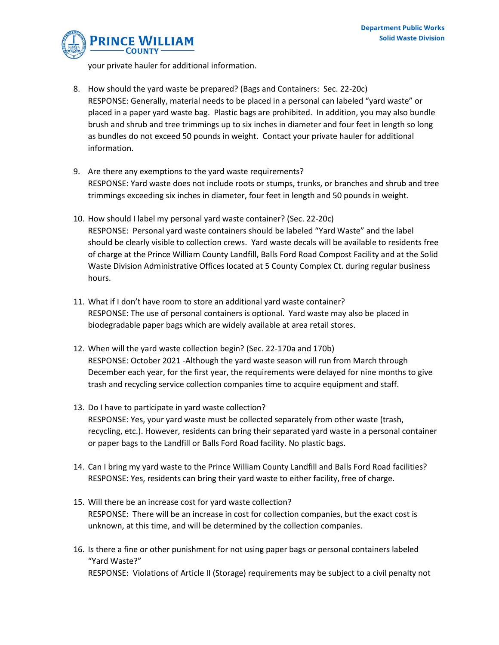

your private hauler for additional information.

- 8. How should the yard waste be prepared? (Bags and Containers: Sec. 22-20c) RESPONSE: Generally, material needs to be placed in a personal can labeled "yard waste" or placed in a paper yard waste bag. Plastic bags are prohibited. In addition, you may also bundle brush and shrub and tree trimmings up to six inches in diameter and four feet in length so long as bundles do not exceed 50 pounds in weight. Contact your private hauler for additional information.
- 9. Are there any exemptions to the yard waste requirements? RESPONSE: Yard waste does not include roots or stumps, trunks, or branches and shrub and tree trimmings exceeding six inches in diameter, four feet in length and 50 pounds in weight.
- 10. How should I label my personal yard waste container? (Sec. 22-20c) RESPONSE: Personal yard waste containers should be labeled "Yard Waste" and the label should be clearly visible to collection crews. Yard waste decals will be available to residents free of charge at the Prince William County Landfill, Balls Ford Road Compost Facility and at the Solid Waste Division Administrative Offices located at 5 County Complex Ct. during regular business hours.
- 11. What if I don't have room to store an additional yard waste container? RESPONSE: The use of personal containers is optional. Yard waste may also be placed in biodegradable paper bags which are widely available at area retail stores.
- 12. When will the yard waste collection begin? (Sec. 22-170a and 170b) RESPONSE: October 2021 -Although the yard waste season will run from March through December each year, for the first year, the requirements were delayed for nine months to give trash and recycling service collection companies time to acquire equipment and staff.
- 13. Do I have to participate in yard waste collection? RESPONSE: Yes, your yard waste must be collected separately from other waste (trash, recycling, etc.). However, residents can bring their separated yard waste in a personal container or paper bags to the Landfill or Balls Ford Road facility. No plastic bags.
- 14. Can I bring my yard waste to the Prince William County Landfill and Balls Ford Road facilities? RESPONSE: Yes, residents can bring their yard waste to either facility, free of charge.
- 15. Will there be an increase cost for yard waste collection? RESPONSE: There will be an increase in cost for collection companies, but the exact cost is unknown, at this time, and will be determined by the collection companies.
- 16. Is there a fine or other punishment for not using paper bags or personal containers labeled "Yard Waste?" RESPONSE: Violations of Article II (Storage) requirements may be subject to a civil penalty not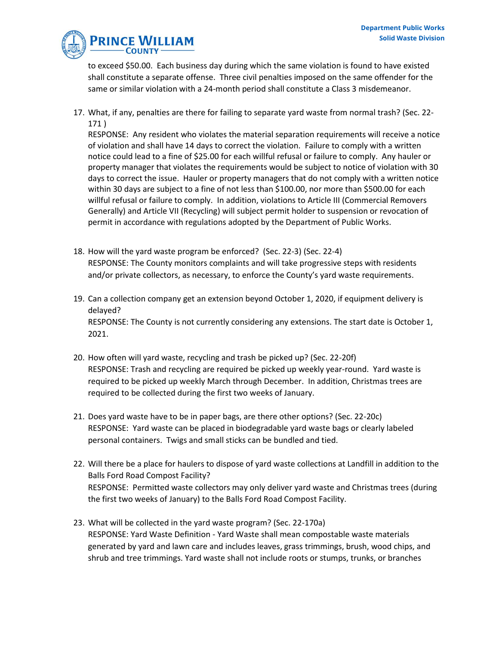

to exceed \$50.00. Each business day during which the same violation is found to have existed shall constitute a separate offense. Three civil penalties imposed on the same offender for the same or similar violation with a 24-month period shall constitute a Class 3 misdemeanor.

17. What, if any, penalties are there for failing to separate yard waste from normal trash? (Sec. 22- 171 )

RESPONSE: Any resident who violates the material separation requirements will receive a notice of violation and shall have 14 days to correct the violation. Failure to comply with a written notice could lead to a fine of \$25.00 for each willful refusal or failure to comply. Any hauler or property manager that violates the requirements would be subject to notice of violation with 30 days to correct the issue. Hauler or property managers that do not comply with a written notice within 30 days are subject to a fine of not less than \$100.00, nor more than \$500.00 for each willful refusal or failure to comply. In addition, violations to Article III (Commercial Removers Generally) and Article VII (Recycling) will subject permit holder to suspension or revocation of permit in accordance with regulations adopted by the Department of Public Works.

- 18. How will the yard waste program be enforced? (Sec. 22-3) (Sec. 22-4) RESPONSE: The County monitors complaints and will take progressive steps with residents and/or private collectors, as necessary, to enforce the County's yard waste requirements.
- 19. Can a collection company get an extension beyond October 1, 2020, if equipment delivery is delayed? RESPONSE: The County is not currently considering any extensions. The start date is October 1, 2021.
- 20. How often will yard waste, recycling and trash be picked up? (Sec. 22-20f) RESPONSE: Trash and recycling are required be picked up weekly year-round. Yard waste is required to be picked up weekly March through December. In addition, Christmas trees are required to be collected during the first two weeks of January.
- 21. Does yard waste have to be in paper bags, are there other options? (Sec. 22-20c) RESPONSE: Yard waste can be placed in biodegradable yard waste bags or clearly labeled personal containers. Twigs and small sticks can be bundled and tied.
- 22. Will there be a place for haulers to dispose of yard waste collections at Landfill in addition to the Balls Ford Road Compost Facility? RESPONSE: Permitted waste collectors may only deliver yard waste and Christmas trees (during the first two weeks of January) to the Balls Ford Road Compost Facility.
- 23. What will be collected in the yard waste program? (Sec. 22-170a) RESPONSE: Yard Waste Definition - Yard Waste shall mean compostable waste materials generated by yard and lawn care and includes leaves, grass trimmings, brush, wood chips, and shrub and tree trimmings. Yard waste shall not include roots or stumps, trunks, or branches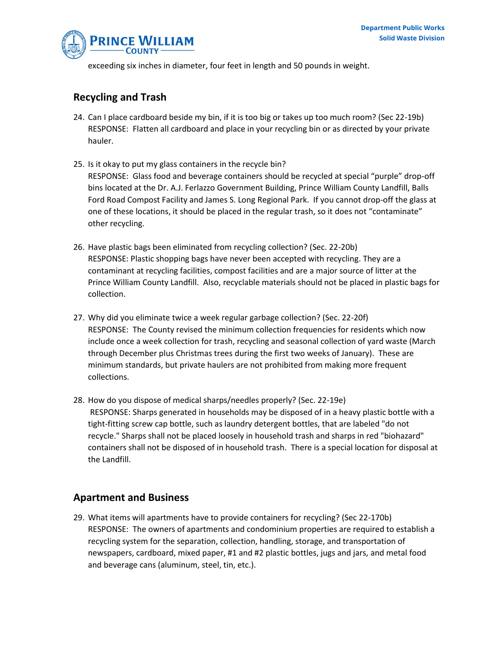

exceeding six inches in diameter, four feet in length and 50 pounds in weight.

# **Recycling and Trash**

- 24. Can I place cardboard beside my bin, if it is too big or takes up too much room? (Sec 22-19b) RESPONSE: Flatten all cardboard and place in your recycling bin or as directed by your private hauler.
- 25. Is it okay to put my glass containers in the recycle bin? RESPONSE: Glass food and beverage containers should be recycled at special "purple" drop-off bins located at the Dr. A.J. Ferlazzo Government Building, Prince William County Landfill, Balls Ford Road Compost Facility and James S. Long Regional Park. If you cannot drop-off the glass at one of these locations, it should be placed in the regular trash, so it does not "contaminate" other recycling.
- 26. Have plastic bags been eliminated from recycling collection? (Sec. 22-20b) RESPONSE: Plastic shopping bags have never been accepted with recycling. They are a contaminant at recycling facilities, compost facilities and are a major source of litter at the Prince William County Landfill. Also, recyclable materials should not be placed in plastic bags for collection.
- 27. Why did you eliminate twice a week regular garbage collection? (Sec. 22-20f) RESPONSE: The County revised the minimum collection frequencies for residents which now include once a week collection for trash, recycling and seasonal collection of yard waste (March through December plus Christmas trees during the first two weeks of January). These are minimum standards, but private haulers are not prohibited from making more frequent collections.
- 28. How do you dispose of medical sharps/needles properly? (Sec. 22-19e) RESPONSE: Sharps generated in households may be disposed of in a heavy plastic bottle with a tight-fitting screw cap bottle, such as laundry detergent bottles, that are labeled "do not recycle." Sharps shall not be placed loosely in household trash and sharps in red "biohazard" containers shall not be disposed of in household trash. There is a special location for disposal at the Landfill.

## **Apartment and Business**

29. What items will apartments have to provide containers for recycling? (Sec 22-170b) RESPONSE: The owners of apartments and condominium properties are required to establish a recycling system for the separation, collection, handling, storage, and transportation of newspapers, cardboard, mixed paper, #1 and #2 plastic bottles, jugs and jars, and metal food and beverage cans (aluminum, steel, tin, etc.).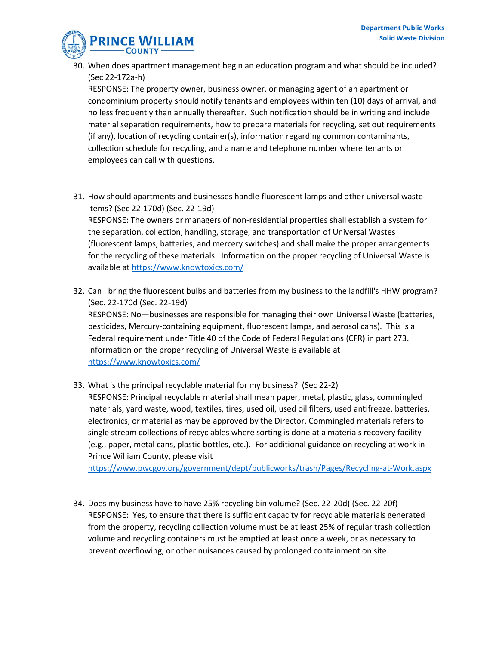

30. When does apartment management begin an education program and what should be included? (Sec 22-172a-h)

RESPONSE: The property owner, business owner, or managing agent of an apartment or condominium property should notify tenants and employees within ten (10) days of arrival, and no less frequently than annually thereafter. Such notification should be in writing and include material separation requirements, how to prepare materials for recycling, set out requirements (if any), location of recycling container(s), information regarding common contaminants, collection schedule for recycling, and a name and telephone number where tenants or employees can call with questions.

31. How should apartments and businesses handle fluorescent lamps and other universal waste items? (Sec 22-170d) (Sec. 22-19d)

RESPONSE: The owners or managers of non-residential properties shall establish a system for the separation, collection, handling, storage, and transportation of Universal Wastes (fluorescent lamps, batteries, and mercery switches) and shall make the proper arrangements for the recycling of these materials. Information on the proper recycling of Universal Waste is available a[t https://www.knowtoxics.com/](https://www.knowtoxics.com/)

32. Can I bring the fluorescent bulbs and batteries from my business to the landfill's HHW program? (Sec. 22-170d (Sec. 22-19d)

RESPONSE: No—businesses are responsible for managing their own Universal Waste (batteries, pesticides, Mercury-containing equipment, fluorescent lamps, and aerosol cans). This is a Federal requirement under Title 40 of the Code of Federal Regulations (CFR) in part 273. Information on the proper recycling of Universal Waste is available at <https://www.knowtoxics.com/>

33. What is the principal recyclable material for my business? (Sec 22-2) RESPONSE: Principal recyclable material shall mean paper, metal, plastic, glass, commingled materials, yard waste, wood, textiles, tires, used oil, used oil filters, used antifreeze, batteries, electronics, or material as may be approved by the Director. Commingled materials refers to single stream collections of recyclables where sorting is done at a materials recovery facility (e.g., paper, metal cans, plastic bottles, etc.). For additional guidance on recycling at work in Prince William County, please visit

<https://www.pwcgov.org/government/dept/publicworks/trash/Pages/Recycling-at-Work.aspx>

34. Does my business have to have 25% recycling bin volume? (Sec. 22-20d) (Sec. 22-20f) RESPONSE: Yes, to ensure that there is sufficient capacity for recyclable materials generated from the property, recycling collection volume must be at least 25% of regular trash collection volume and recycling containers must be emptied at least once a week, or as necessary to prevent overflowing, or other nuisances caused by prolonged containment on site.